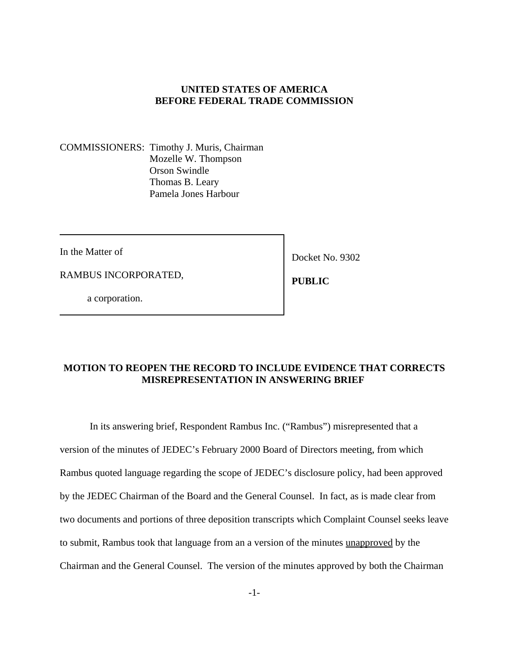### **UNITED STATES OF AMERICA BEFORE FEDERAL TRADE COMMISSION**

COMMISSIONERS: Timothy J. Muris, Chairman Mozelle W. Thompson Orson Swindle Thomas B. Leary Pamela Jones Harbour

In the Matter of

RAMBUS INCORPORATED,

Docket No. 9302

 **PUBLIC**

a corporation.

# **MOTION TO REOPEN THE RECORD TO INCLUDE EVIDENCE THAT CORRECTS MISREPRESENTATION IN ANSWERING BRIEF**

In its answering brief, Respondent Rambus Inc. ("Rambus") misrepresented that a version of the minutes of JEDEC's February 2000 Board of Directors meeting, from which Rambus quoted language regarding the scope of JEDEC's disclosure policy, had been approved by the JEDEC Chairman of the Board and the General Counsel. In fact, as is made clear from two documents and portions of three deposition transcripts which Complaint Counsel seeks leave to submit, Rambus took that language from an a version of the minutes unapproved by the Chairman and the General Counsel. The version of the minutes approved by both the Chairman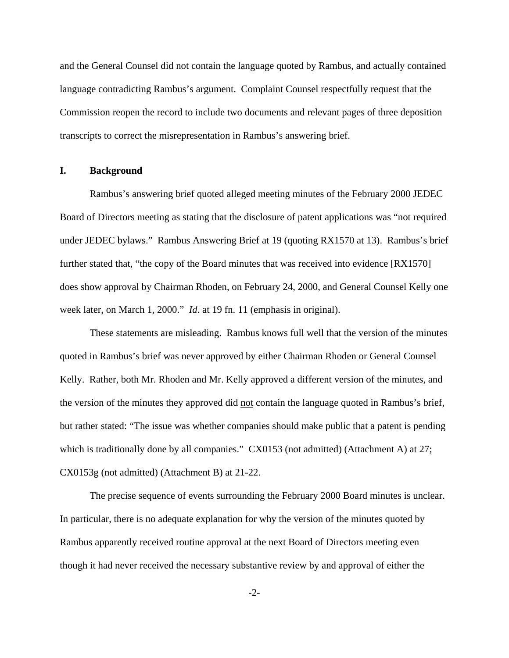and the General Counsel did not contain the language quoted by Rambus, and actually contained language contradicting Rambus's argument. Complaint Counsel respectfully request that the Commission reopen the record to include two documents and relevant pages of three deposition transcripts to correct the misrepresentation in Rambus's answering brief.

### **I. Background**

Rambus's answering brief quoted alleged meeting minutes of the February 2000 JEDEC Board of Directors meeting as stating that the disclosure of patent applications was "not required under JEDEC bylaws." Rambus Answering Brief at 19 (quoting RX1570 at 13). Rambus's brief further stated that, "the copy of the Board minutes that was received into evidence [RX1570] does show approval by Chairman Rhoden, on February 24, 2000, and General Counsel Kelly one week later, on March 1, 2000." *Id*. at 19 fn. 11 (emphasis in original).

These statements are misleading. Rambus knows full well that the version of the minutes quoted in Rambus's brief was never approved by either Chairman Rhoden or General Counsel Kelly. Rather, both Mr. Rhoden and Mr. Kelly approved a different version of the minutes, and the version of the minutes they approved did not contain the language quoted in Rambus's brief, but rather stated: "The issue was whether companies should make public that a patent is pending which is traditionally done by all companies." CX0153 (not admitted) (Attachment A) at 27; CX0153g (not admitted) (Attachment B) at 21-22.

The precise sequence of events surrounding the February 2000 Board minutes is unclear. In particular, there is no adequate explanation for why the version of the minutes quoted by Rambus apparently received routine approval at the next Board of Directors meeting even though it had never received the necessary substantive review by and approval of either the

 $-2$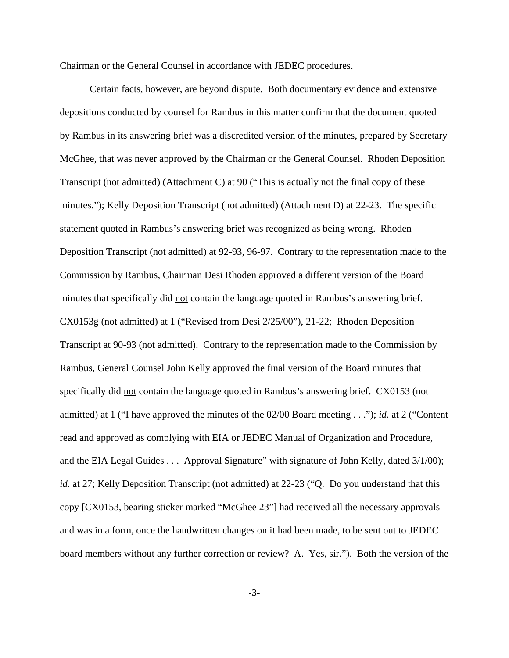Chairman or the General Counsel in accordance with JEDEC procedures.

Certain facts, however, are beyond dispute. Both documentary evidence and extensive depositions conducted by counsel for Rambus in this matter confirm that the document quoted by Rambus in its answering brief was a discredited version of the minutes, prepared by Secretary McGhee, that was never approved by the Chairman or the General Counsel. Rhoden Deposition Transcript (not admitted) (Attachment C) at 90 ("This is actually not the final copy of these minutes."); Kelly Deposition Transcript (not admitted) (Attachment D) at 22-23. The specific statement quoted in Rambus's answering brief was recognized as being wrong. Rhoden Deposition Transcript (not admitted) at 92-93, 96-97. Contrary to the representation made to the Commission by Rambus, Chairman Desi Rhoden approved a different version of the Board minutes that specifically did not contain the language quoted in Rambus's answering brief. CX0153g (not admitted) at 1 ("Revised from Desi 2/25/00"), 21-22; Rhoden Deposition Transcript at 90-93 (not admitted). Contrary to the representation made to the Commission by Rambus, General Counsel John Kelly approved the final version of the Board minutes that specifically did not contain the language quoted in Rambus's answering brief. CX0153 (not admitted) at 1 ("I have approved the minutes of the 02/00 Board meeting . . ."); *id.* at 2 ("Content read and approved as complying with EIA or JEDEC Manual of Organization and Procedure, and the EIA Legal Guides . . . Approval Signature" with signature of John Kelly, dated 3/1/00); *id.* at 27; Kelly Deposition Transcript (not admitted) at 22-23 ("Q. Do you understand that this copy [CX0153, bearing sticker marked "McGhee 23"] had received all the necessary approvals and was in a form, once the handwritten changes on it had been made, to be sent out to JEDEC board members without any further correction or review? A. Yes, sir."). Both the version of the

-3-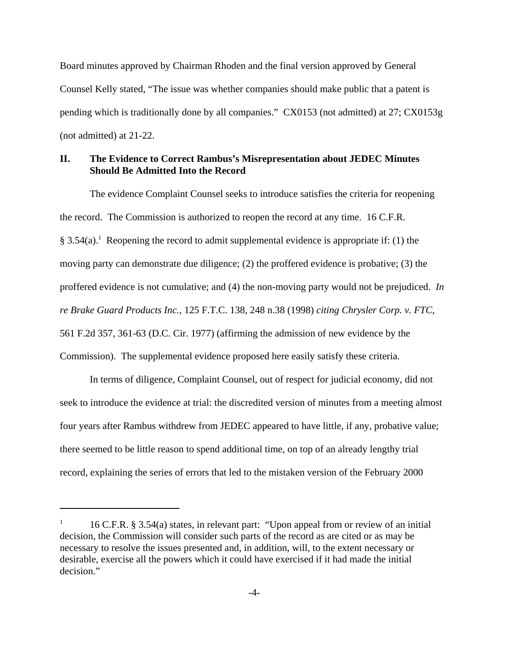Board minutes approved by Chairman Rhoden and the final version approved by General Counsel Kelly stated, "The issue was whether companies should make public that a patent is pending which is traditionally done by all companies." CX0153 (not admitted) at 27; CX0153g (not admitted) at 21-22.

## **II. The Evidence to Correct Rambus's Misrepresentation about JEDEC Minutes Should Be Admitted Into the Record**

The evidence Complaint Counsel seeks to introduce satisfies the criteria for reopening the record. The Commission is authorized to reopen the record at any time. 16 C.F.R. § 3.54(a).<sup>1</sup> Reopening the record to admit supplemental evidence is appropriate if: (1) the moving party can demonstrate due diligence; (2) the proffered evidence is probative; (3) the proffered evidence is not cumulative; and (4) the non-moving party would not be prejudiced. *In re Brake Guard Products Inc.,* 125 F.T.C. 138, 248 n.38 (1998) *citing Chrysler Corp. v. FTC,* 561 F.2d 357, 361-63 (D.C. Cir. 1977) (affirming the admission of new evidence by the Commission). The supplemental evidence proposed here easily satisfy these criteria.

 In terms of diligence, Complaint Counsel, out of respect for judicial economy, did not seek to introduce the evidence at trial: the discredited version of minutes from a meeting almost four years after Rambus withdrew from JEDEC appeared to have little, if any, probative value; there seemed to be little reason to spend additional time, on top of an already lengthy trial record, explaining the series of errors that led to the mistaken version of the February 2000

<sup>1</sup> 16 C.F.R. § 3.54(a) states, in relevant part: "Upon appeal from or review of an initial decision, the Commission will consider such parts of the record as are cited or as may be necessary to resolve the issues presented and, in addition, will, to the extent necessary or desirable, exercise all the powers which it could have exercised if it had made the initial decision."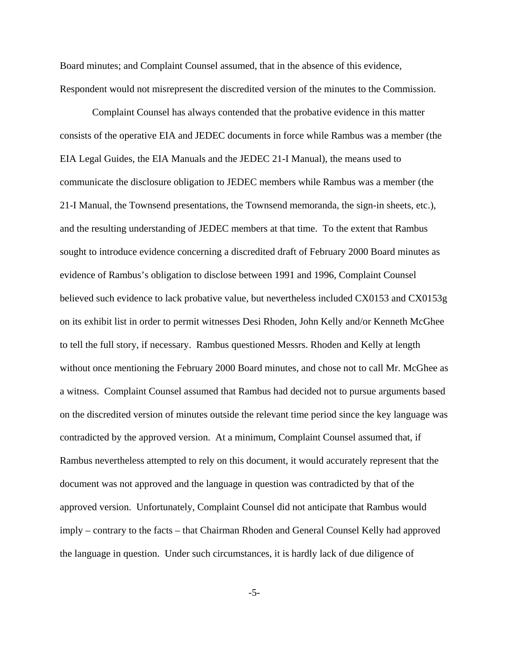Board minutes; and Complaint Counsel assumed, that in the absence of this evidence, Respondent would not misrepresent the discredited version of the minutes to the Commission.

 Complaint Counsel has always contended that the probative evidence in this matter consists of the operative EIA and JEDEC documents in force while Rambus was a member (the EIA Legal Guides, the EIA Manuals and the JEDEC 21-I Manual), the means used to communicate the disclosure obligation to JEDEC members while Rambus was a member (the 21-I Manual, the Townsend presentations, the Townsend memoranda, the sign-in sheets, etc.), and the resulting understanding of JEDEC members at that time. To the extent that Rambus sought to introduce evidence concerning a discredited draft of February 2000 Board minutes as evidence of Rambus's obligation to disclose between 1991 and 1996, Complaint Counsel believed such evidence to lack probative value, but nevertheless included CX0153 and CX0153g on its exhibit list in order to permit witnesses Desi Rhoden, John Kelly and/or Kenneth McGhee to tell the full story, if necessary. Rambus questioned Messrs. Rhoden and Kelly at length without once mentioning the February 2000 Board minutes, and chose not to call Mr. McGhee as a witness. Complaint Counsel assumed that Rambus had decided not to pursue arguments based on the discredited version of minutes outside the relevant time period since the key language was contradicted by the approved version. At a minimum, Complaint Counsel assumed that, if Rambus nevertheless attempted to rely on this document, it would accurately represent that the document was not approved and the language in question was contradicted by that of the approved version. Unfortunately, Complaint Counsel did not anticipate that Rambus would imply – contrary to the facts – that Chairman Rhoden and General Counsel Kelly had approved the language in question. Under such circumstances, it is hardly lack of due diligence of

-5-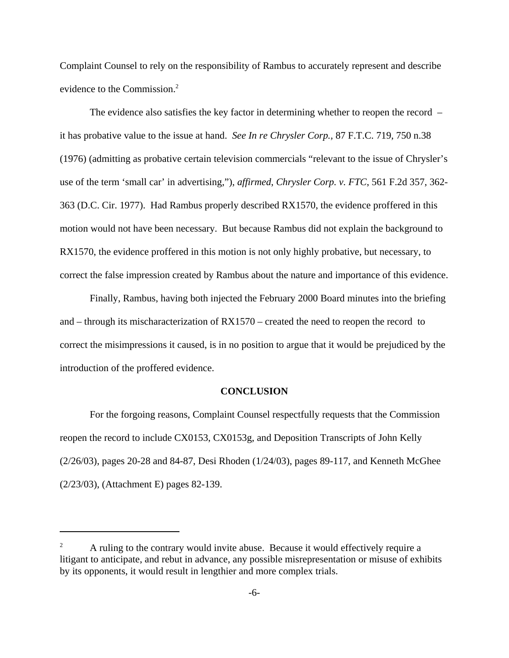Complaint Counsel to rely on the responsibility of Rambus to accurately represent and describe evidence to the Commission.<sup>2</sup>

The evidence also satisfies the key factor in determining whether to reopen the record – it has probative value to the issue at hand. *See In re Chrysler Corp.,* 87 F.T.C. 719, 750 n.38 (1976) (admitting as probative certain television commercials "relevant to the issue of Chrysler's use of the term 'small car' in advertising,"), *affirmed*, *Chrysler Corp. v. FTC*, 561 F.2d 357, 362- 363 (D.C. Cir. 1977). Had Rambus properly described RX1570, the evidence proffered in this motion would not have been necessary. But because Rambus did not explain the background to RX1570, the evidence proffered in this motion is not only highly probative, but necessary, to correct the false impression created by Rambus about the nature and importance of this evidence.

Finally, Rambus, having both injected the February 2000 Board minutes into the briefing and – through its mischaracterization of RX1570 – created the need to reopen the record to correct the misimpressions it caused, is in no position to argue that it would be prejudiced by the introduction of the proffered evidence.

#### **CONCLUSION**

For the forgoing reasons, Complaint Counsel respectfully requests that the Commission reopen the record to include CX0153, CX0153g, and Deposition Transcripts of John Kelly (2/26/03), pages 20-28 and 84-87, Desi Rhoden (1/24/03), pages 89-117, and Kenneth McGhee (2/23/03), (Attachment E) pages 82-139.

 $2^2$  A ruling to the contrary would invite abuse. Because it would effectively require a litigant to anticipate, and rebut in advance, any possible misrepresentation or misuse of exhibits by its opponents, it would result in lengthier and more complex trials.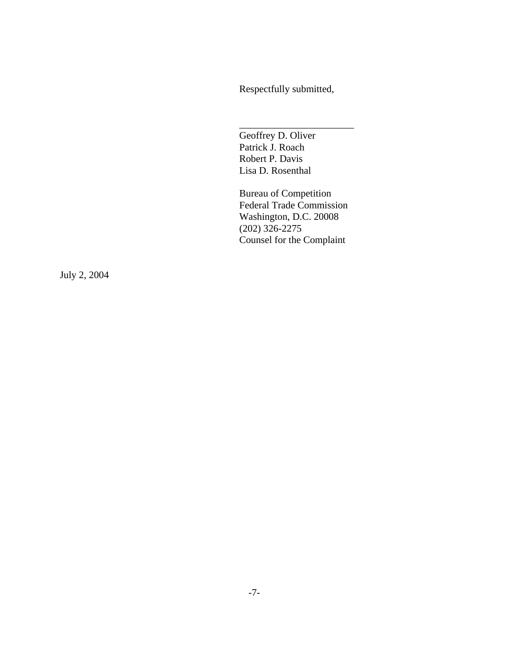Respectfully submitted,

\_\_\_\_\_\_\_\_\_\_\_\_\_\_\_\_\_\_\_\_\_\_\_

Geoffrey D. Oliver Patrick J. Roach Robert P. Davis Lisa D. Rosenthal

Bureau of Competition Federal Trade Commission Washington, D.C. 20008 (202) 326-2275 Counsel for the Complaint

July 2, 2004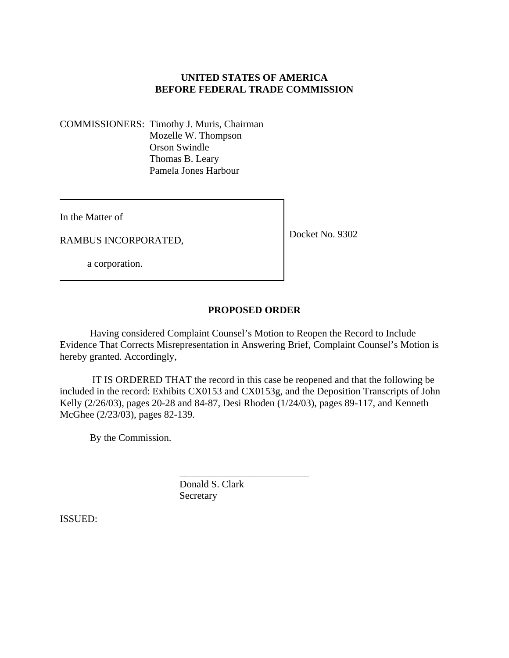# **UNITED STATES OF AMERICA BEFORE FEDERAL TRADE COMMISSION**

COMMISSIONERS: Timothy J. Muris, Chairman Mozelle W. Thompson Orson Swindle Thomas B. Leary Pamela Jones Harbour

In the Matter of

RAMBUS INCORPORATED,

Docket No. 9302

a corporation.

# **PROPOSED ORDER**

Having considered Complaint Counsel's Motion to Reopen the Record to Include Evidence That Corrects Misrepresentation in Answering Brief, Complaint Counsel's Motion is hereby granted. Accordingly,

 IT IS ORDERED THAT the record in this case be reopened and that the following be included in the record: Exhibits CX0153 and CX0153g, and the Deposition Transcripts of John Kelly (2/26/03), pages 20-28 and 84-87, Desi Rhoden (1/24/03), pages 89-117, and Kenneth McGhee (2/23/03), pages 82-139.

By the Commission.

\_\_\_\_\_\_\_\_\_\_\_\_\_\_\_\_\_\_\_\_\_\_\_\_\_\_ Donald S. Clark Secretary

ISSUED: